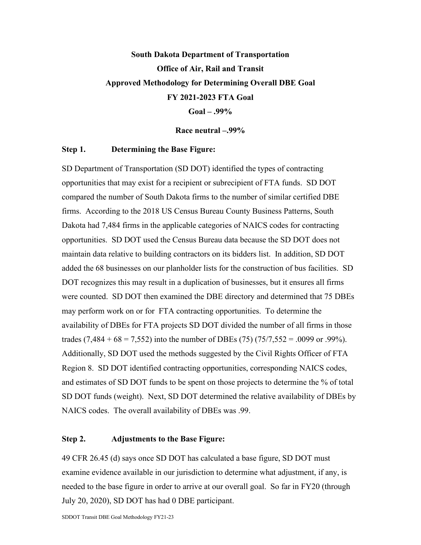## **South Dakota Department of Transportation Office of Air, Rail and Transit Approved Methodology for Determining Overall DBE Goal FY 2021-2023 FTA Goal Goal – .99%**

**Race neutral –.99%**

## **Step 1. Determining the Base Figure:**

SD Department of Transportation (SD DOT) identified the types of contracting opportunities that may exist for a recipient or subrecipient of FTA funds. SD DOT compared the number of South Dakota firms to the number of similar certified DBE firms. According to the 2018 US Census Bureau County Business Patterns, South Dakota had 7,484 firms in the applicable categories of NAICS codes for contracting opportunities. SD DOT used the Census Bureau data because the SD DOT does not maintain data relative to building contractors on its bidders list. In addition, SD DOT added the 68 businesses on our planholder lists for the construction of bus facilities. SD DOT recognizes this may result in a duplication of businesses, but it ensures all firms were counted. SD DOT then examined the DBE directory and determined that 75 DBEs may perform work on or for FTA contracting opportunities. To determine the availability of DBEs for FTA projects SD DOT divided the number of all firms in those trades  $(7,484 + 68 = 7,552)$  into the number of DBEs  $(75)$   $(75/7,552 = .0099$  or .99%). Additionally, SD DOT used the methods suggested by the Civil Rights Officer of FTA Region 8. SD DOT identified contracting opportunities, corresponding NAICS codes, and estimates of SD DOT funds to be spent on those projects to determine the % of total SD DOT funds (weight). Next, SD DOT determined the relative availability of DBEs by NAICS codes. The overall availability of DBEs was .99.

## **Step 2. Adjustments to the Base Figure:**

49 CFR 26.45 (d) says once SD DOT has calculated a base figure, SD DOT must examine evidence available in our jurisdiction to determine what adjustment, if any, is needed to the base figure in order to arrive at our overall goal. So far in FY20 (through July 20, 2020), SD DOT has had 0 DBE participant.